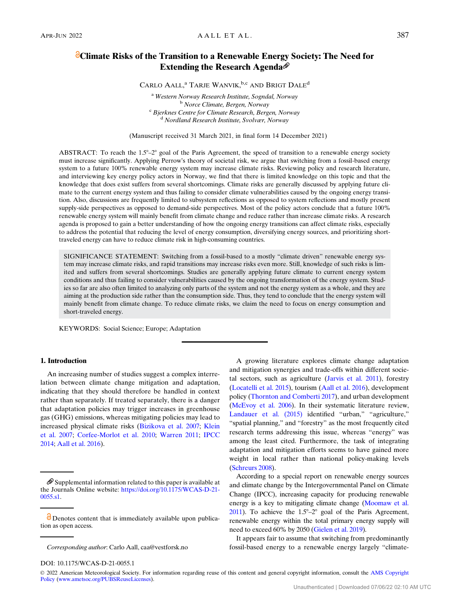# **Climate Risks of the Transition to a Renewable Energy Society: The Need for** Extending the Research Agenda<sup>®</sup>

CARLO AALL,<sup>a</sup> TARJE WANVIK,<sup>b,c</sup> AND BRIGT DALE<sup>d</sup>

<sup>a</sup> Western Norway Research Institute, Sogndal, Norway<br><sup>b</sup> Norce Climate, Bergen, Norway<br><sup>c</sup> Bjerknes Centre for Climate Research, Bergen, Norway<br><sup>d</sup> Nordland Research Institute, Svolvær, Norway

(Manuscript received 31 March 2021, in final form 14 December 2021)

ABSTRACT: To reach the  $1.5^{\circ}-2^{\circ}$  goal of the Paris Agreement, the speed of transition to a renewable energy society must increase significantly. Applying Perrow's theory of societal risk, we argue that switching from a fossil-based energy system to a future 100% renewable energy system may increase climate risks. Reviewing policy and research literature, and interviewing key energy policy actors in Norway, we find that there is limited knowledge on this topic and that the knowledge that does exist suffers from several shortcomings. Climate risks are generally discussed by applying future climate to the current energy system and thus failing to consider climate vulnerabilities caused by the ongoing energy transition. Also, discussions are frequently limited to subsystem reflections as opposed to system reflections and mostly present supply-side perspectives as opposed to demand-side perspectives. Most of the policy actors conclude that a future 100% renewable energy system will mainly benefit from climate change and reduce rather than increase climate risks. A research agenda is proposed to gain a better understanding of how the ongoing energy transitions can affect climate risks, especially to address the potential that reducing the level of energy consumption, diversifying energy sources, and prioritizing shorttraveled energy can have to reduce climate risk in high-consuming countries.

SIGNIFICANCE STATEMENT: Switching from a fossil-based to a mostly "climate driven" renewable energy system may increase climate risks, and rapid transitions may increase risks even more. Still, knowledge of such risks is limited and suffers from several shortcomings. Studies are generally applying future climate to current energy system conditions and thus failing to consider vulnerabilities caused by the ongoing transformation of the energy system. Studies so far are also often limited to analyzing only parts of the system and not the energy system as a whole, and they are aiming at the production side rather than the consumption side. Thus, they tend to conclude that the energy system will mainly benefit from climate change. To reduce climate risks, we claim the need to focus on energy consumption and short-traveled energy.

KEYWORDS: Social Science; Europe; Adaptation

### 1. Introduction

An increasing number of studies suggest a complex interrelation between climate change mitigation and adaptation, indicating that they should therefore be handled in context rather than separately. If treated separately, there is a danger that adaptation policies may trigger increases in greenhouse gas (GHG) emissions, whereas mitigating policies may lead to increased physical climate risks [\(Bizikova et al. 2007;](#page-9-0) [Klein](#page-9-0) [et al. 2007](#page-9-0); [Corfee-Morlot et al. 2010](#page-9-0); [Warren 2011;](#page-10-0) [IPCC](#page-9-0) [2014;](#page-9-0) [Aall et al. 2016](#page-9-0)).

A growing literature explores climate change adaptation and mitigation synergies and trade-offs within different societal sectors, such as agriculture [\(Jarvis et al. 2011\)](#page-9-0), forestry ([Locatelli et al. 2015\)](#page-9-0), tourism [\(Aall et al. 2016](#page-9-0)), development policy [\(Thornton and Comberti 2017\)](#page-10-0), and urban development ([McEvoy et al. 2006\)](#page-9-0). In their systematic literature review, [Landauer et al. \(2015\)](#page-9-0) identified "urban," "agriculture," "spatial planning," and "forestry" as the most frequently cited research terms addressing this issue, whereas "energy" was among the least cited. Furthermore, the task of integrating adaptation and mitigation efforts seems to have gained more weight in local rather than national policy-making levels ([Schreurs 2008\)](#page-10-0).

According to a special report on renewable energy sources and climate change by the Intergovernmental Panel on Climate Change (IPCC), increasing capacity for producing renewable energy is a key to mitigating climate change [\(Moomaw et al.](#page-9-0) [2011\)](#page-9-0). To achieve the  $1.5^{\circ}-2^{\circ}$  goal of the Paris Agreement, renewable energy within the total primary energy supply will need to exceed 60% by 2050 [\(Gielen et al. 2019\)](#page-9-0).

It appears fair to assume that switching from predominantly fossil-based energy to a renewable energy largely "climate-

DOI: 10.1175/WCAS-D-21-0055.1

© 2022 American Meteorological Society. For information regarding reuse of this content and general copyright information, consult the [AMS Copyright](http://www.ametsoc.org/PUBSReuseLicenses) [Policy](http://www.ametsoc.org/PUBSReuseLicenses) ([www.ametsoc.org/PUBSReuseLicenses\)](http://www.ametsoc.org/PUBSReuseLicenses).

 $\mathscr{D}$  Supplemental information related to this paper is available at the Journals Online website: [https://doi.org/10.1175/WCAS-D-21-](https://doi.org/https://doi.org/10.1175/WCAS-D-21-0055.s1) [0055.s1](https://doi.org/https://doi.org/10.1175/WCAS-D-21-0055.s1).

O Denotes content that is immediately available upon publication as open access.

Corresponding author: Carlo Aall, [caa@vestforsk.no](mailto:caa@vestforsk.no)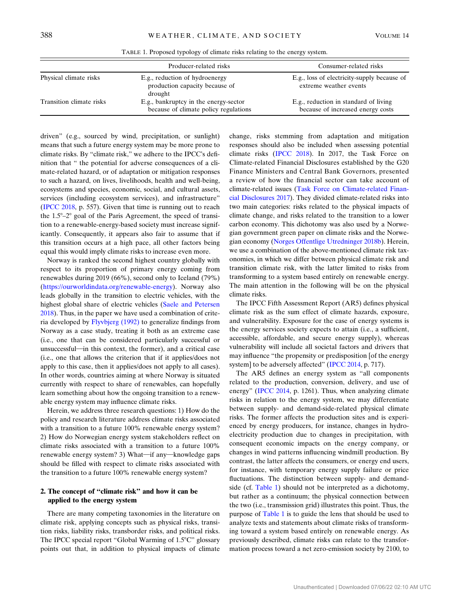|                          | Producer-related risks                                                         | Consumer-related risks                                                     |  |
|--------------------------|--------------------------------------------------------------------------------|----------------------------------------------------------------------------|--|
| Physical climate risks   | E.g., reduction of hydroenergy<br>production capacity because of<br>drought    | E.g., loss of electricity-supply because of<br>extreme weather events      |  |
| Transition climate risks | E.g., bankruptcy in the energy-sector<br>because of climate policy regulations | E.g., reduction in standard of living<br>because of increased energy costs |  |

TABLE 1. Proposed typology of climate risks relating to the energy system.

driven" (e.g., sourced by wind, precipitation, or sunlight) means that such a future energy system may be more prone to climate risks. By "climate risk," we adhere to the IPCC's definition that " the potential for adverse consequences of a climate-related hazard, or of adaptation or mitigation responses to such a hazard, on lives, livelihoods, health and well-being, ecosystems and species, economic, social, and cultural assets, services (including ecosystem services), and infrastructure" [\(IPCC 2018](#page-9-0), p. 557). Given that time is running out to reach the  $1.5^{\circ}$ – $2^{\circ}$  goal of the Paris Agreement, the speed of transition to a renewable-energy-based society must increase significantly. Consequently, it appears also fair to assume that if this transition occurs at a high pace, all other factors being equal this would imply climate risks to increase even more.

Norway is ranked the second highest country globally with respect to its proportion of primary energy coming from renewables during 2019 (66%), second only to Iceland (79%) [\(https://ourworldindata.org/renewable-energy\)](https://ourworldindata.org/renewable-energy). Norway also leads globally in the transition to electric vehicles, with the highest global share of electric vehicles [\(Saele and Petersen](#page-10-0) [2018\)](#page-10-0). Thus, in the paper we have used a combination of criteria developed by [Flyvbjerg \(1992\)](#page-9-0) to generalize findings from Norway as a case study, treating it both as an extreme case (i.e., one that can be considered particularly successful or unsuccessful—in this context, the former), and a critical case (i.e., one that allows the criterion that if it applies/does not apply to this case, then it applies/does not apply to all cases). In other words, countries aiming at where Norway is situated currently with respect to share of renewables, can hopefully learn something about how the ongoing transition to a renewable energy system may influence climate risks.

Herein, we address three research questions: 1) How do the policy and research literature address climate risks associated with a transition to a future 100% renewable energy system? 2) How do Norwegian energy system stakeholders reflect on climate risks associated with a transition to a future 100% renewable energy system? 3) What-if any-knowledge gaps should be filled with respect to climate risks associated with the transition to a future 100% renewable energy system?

### 2. The concept of "climate risk" and how it can be applied to the energy system

There are many competing taxonomies in the literature on climate risk, applying concepts such as physical risks, transition risks, liability risks, transborder risks, and political risks. The IPCC special report "Global Warming of  $1.5^{\circ}$ C" glossary points out that, in addition to physical impacts of climate

change, risks stemming from adaptation and mitigation responses should also be included when assessing potential climate risks [\(IPCC 2018\)](#page-9-0). In 2017, the Task Force on Climate-related Financial Disclosures established by the G20 Finance Ministers and Central Bank Governors, presented a review of how the financial sector can take account of climate-related issues [\(Task Force on Climate-related Finan](#page-10-0)[cial Disclosures 2017](#page-10-0)). They divided climate-related risks into two main categories: risks related to the physical impacts of climate change, and risks related to the transition to a lower carbon economy. This dichotomy was also used by a Norwegian government green paper on climate risks and the Norwegian economy [\(Norges Offentlige Utredninger 2018b](#page-10-0)). Herein, we use a combination of the above-mentioned climate risk taxonomies, in which we differ between physical climate risk and transition climate risk, with the latter limited to risks from transforming to a system based entirely on renewable energy. The main attention in the following will be on the physical climate risks.

The IPCC Fifth Assessment Report (AR5) defines physical climate risk as the sum effect of climate hazards, exposure, and vulnerability. Exposure for the case of energy systems is the energy services society expects to attain (i.e., a sufficient, accessible, affordable, and secure energy supply), whereas vulnerability will include all societal factors and drivers that may influence "the propensity or predisposition [of the energy system] to be adversely affected" [\(IPCC 2014](#page-9-0), p. 717).

The AR5 defines an energy system as "all components related to the production, conversion, delivery, and use of energy" ([IPCC 2014,](#page-9-0) p. 1261). Thus, when analyzing climate risks in relation to the energy system, we may differentiate between supply- and demand-side-related physical climate risks. The former affects the production sites and is experienced by energy producers, for instance, changes in hydroelectricity production due to changes in precipitation, with consequent economic impacts on the energy company, or changes in wind patterns influencing windmill production. By contrast, the latter affects the consumers, or energy end users, for instance, with temporary energy supply failure or price fluctuations. The distinction between supply- and demandside (cf. Table 1) should not be interpreted as a dichotomy, but rather as a continuum; the physical connection between the two (i.e., transmission grid) illustrates this point. Thus, the purpose of Table 1 is to guide the lens that should be used to analyze texts and statements about climate risks of transforming toward a system based entirely on renewable energy. As previously described, climate risks can relate to the transformation process toward a net zero-emission society by 2100, to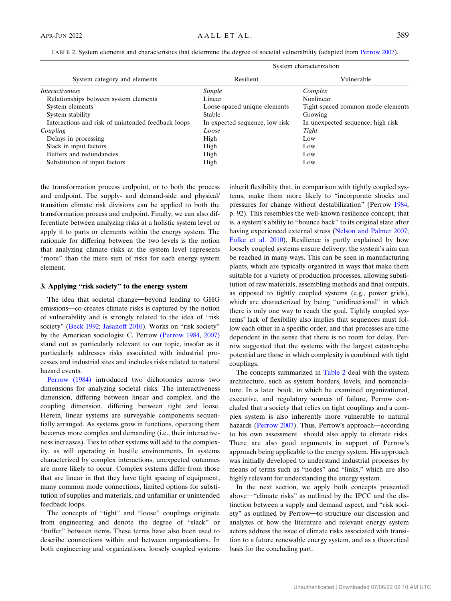<span id="page-2-0"></span>TABLE 2. System elements and characteristics that determine the degree of societal vulnerability (adapted from [Perrow 2007\)](#page-10-0).

|                                                    | System characterization        |                                   |  |
|----------------------------------------------------|--------------------------------|-----------------------------------|--|
| System category and elements                       | Resilient                      | Vulnerable                        |  |
| <i>Interactiveness</i>                             | Simple                         | Complex                           |  |
| Relationships between system elements              | Linear                         | Nonlinear                         |  |
| System elements                                    | Loose-spaced unique elements   | Tight-spaced common mode elements |  |
| System stability                                   | <b>Stable</b>                  | Growing                           |  |
| Interactions and risk of unintended feedback loops | In expected sequence, low risk | In unexpected sequence, high risk |  |
| Coupling                                           | Loose                          | Tight                             |  |
| Delays in processing                               | High                           | Low                               |  |
| Slack in input factors                             | High                           | Low                               |  |
| Buffers and redundancies                           | High                           | Low                               |  |
| Substitution of input factors                      | High                           | Low                               |  |

the transformation process endpoint, or to both the process and endpoint. The supply- and demand-side and physical/ transition climate risk divisions can be applied to both the transformation process and endpoint. Finally, we can also differentiate between analyzing risks at a holistic system level or apply it to parts or elements within the energy system. The rationale for differing between the two levels is the notion that analyzing climate risks at the system level represents "more" than the mere sum of risks for each energy system element.

#### 3. Applying "risk society" to the energy system

The idea that societal change—beyond leading to GHG emissions—co-creates climate risks is captured by the notion of vulnerability and is strongly related to the idea of "risk society" [\(Beck 1992](#page-9-0); [Jasanoff 2010](#page-9-0)). Works on "risk society" by the American sociologist C. Perrow [\(Perrow 1984,](#page-10-0) [2007\)](#page-10-0) stand out as particularly relevant to our topic, insofar as it particularly addresses risks associated with industrial processes and industrial sites and includes risks related to natural hazard events.

[Perrow \(1984\)](#page-10-0) introduced two dichotomies across two dimensions for analyzing societal risks: The interactiveness dimension, differing between linear and complex, and the coupling dimension, differing between tight and loose. Herein, linear systems are surveyable components sequentially arranged. As systems grow in functions, operating them becomes more complex and demanding (i.e., their interactiveness increases). Ties to other systems will add to the complexity, as will operating in hostile environments. In systems characterized by complex interactions, unexpected outcomes are more likely to occur. Complex systems differ from those that are linear in that they have tight spacing of equipment, many common mode connections, limited options for substitution of supplies and materials, and unfamiliar or unintended feedback loops.

The concepts of "tight" and "loose" couplings originate from engineering and denote the degree of "slack" or "buffer" between items. These terms have also been used to describe connections within and between organizations. In both engineering and organizations, loosely coupled systems

inherit flexibility that, in comparison with tightly coupled systems, make them more likely to "incorporate shocks and pressures for change without destabilization" (Perrow [1984,](#page-10-0) p. 92). This resembles the well-known resilience concept, that is, a system's ability to "bounce back" to its original state after having experienced external stress [\(Nelson and Palmer 2007;](#page-9-0) [Folke et al. 2010\)](#page-9-0). Resilience is partly explained by how loosely coupled systems ensure delivery; the system's aim can be reached in many ways. This can be seen in manufacturing plants, which are typically organized in ways that make them suitable for a variety of production processes, allowing substitution of raw materials, assembling methods and final outputs, as opposed to tightly coupled systems (e.g., power grids), which are characterized by being "unidirectional" in which there is only one way to reach the goal. Tightly coupled systems' lack of flexibility also implies that sequences must follow each other in a specific order, and that processes are time dependent in the sense that there is no room for delay. Perrow suggested that the systems with the largest catastrophe potential are those in which complexity is combined with tight couplings.

The concepts summarized in Table 2 deal with the system architecture, such as system borders, levels, and nomenclature. In a later book, in which he examined organizational, executive, and regulatory sources of failure, Perrow concluded that a society that relies on tight couplings and a complex system is also inherently more vulnerable to natural hazards ([Perrow 2007](#page-10-0)). Thus, Perrow's approach—according to his own assessment—should also apply to climate risks. There are also good arguments in support of Perrow's approach being applicable to the energy system. His approach was initially developed to understand industrial processes by means of terms such as "nodes" and "links," which are also highly relevant for understanding the energy system.

In the next section, we apply both concepts presented above—"climate risks" as outlined by the IPCC and the distinction between a supply and demand aspect, and "risk society" as outlined by Perrow-to structure our discussion and analyzes of how the literature and relevant energy system actors address the issue of climate risks associated with transition to a future renewable energy system, and as a theoretical basis for the concluding part.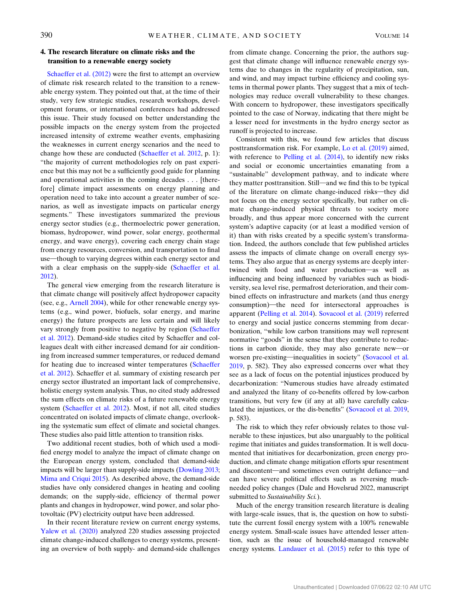### 4. The research literature on climate risks and the transition to a renewable energy society

[Schaeffer et al. \(2012\)](#page-10-0) were the first to attempt an overview of climate risk research related to the transition to a renewable energy system. They pointed out that, at the time of their study, very few strategic studies, research workshops, development forums, or international conferences had addressed this issue. Their study focused on better understanding the possible impacts on the energy system from the projected increased intensity of extreme weather events, emphasizing the weaknesses in current energy scenarios and the need to change how these are conducted [\(Schaeffer et al. 2012,](#page-10-0) p. 1): "the majority of current methodologies rely on past experience but this may not be a sufficiently good guide for planning and operational activities in the coming decades . . . [therefore] climate impact assessments on energy planning and operation need to take into account a greater number of scenarios, as well as investigate impacts on particular energy segments." These investigators summarized the previous energy sector studies (e.g., thermoelectric power generation, biomass, hydropower, wind power, solar energy, geothermal energy, and wave energy), covering each energy chain stage from energy resources, conversion, and transportation to final use—though to varying degrees within each energy sector and with a clear emphasis on the supply-side ([Schaeffer et al.](#page-10-0) [2012\)](#page-10-0).

The general view emerging from the research literature is that climate change will positively affect hydropower capacity (see, e.g., [Arnell 2004](#page-9-0)), while for other renewable energy systems (e.g., wind power, biofuels, solar energy, and marine energy) the future prospects are less certain and will likely vary strongly from positive to negative by region [\(Schaeffer](#page-10-0) [et al. 2012\)](#page-10-0). Demand-side studies cited by Schaeffer and colleagues dealt with either increased demand for air conditioning from increased summer temperatures, or reduced demand for heating due to increased winter temperatures [\(Schaeffer](#page-10-0) [et al. 2012](#page-10-0)). Schaeffer et al. summary of existing research per energy sector illustrated an important lack of comprehensive, holistic energy system analysis. Thus, no cited study addressed the sum effects on climate risks of a future renewable energy system [\(Schaeffer et al. 2012](#page-10-0)). Most, if not all, cited studies concentrated on isolated impacts of climate change, overlooking the systematic sum effect of climate and societal changes. These studies also paid little attention to transition risks.

Two additional recent studies, both of which used a modified energy model to analyze the impact of climate change on the European energy system, concluded that demand-side impacts will be larger than supply-side impacts ([Dowling 2013](#page-9-0); [Mima and Criqui 2015\)](#page-9-0). As described above, the demand-side studies have only considered changes in heating and cooling demands; on the supply-side, efficiency of thermal power plants and changes in hydropower, wind power, and solar photovoltaic (PV) electricity output have been addressed.

In their recent literature review on current energy systems, [Yalew et al. \(2020\)](#page-10-0) analyzed 220 studies assessing projected climate change-induced challenges to energy systems, presenting an overview of both supply- and demand-side challenges from climate change. Concerning the prior, the authors suggest that climate change will influence renewable energy systems due to changes in the regularity of precipitation, sun, and wind, and may impact turbine efficiency and cooling systems in thermal power plants. They suggest that a mix of technologies may reduce overall vulnerability to these changes. With concern to hydropower, these investigators specifically pointed to the case of Norway, indicating that there might be a lesser need for investments in the hydro energy sector as runoff is projected to increase.

Consistent with this, we found few articles that discuss posttransformation risk. For example, [Lo et al. \(2019\)](#page-9-0) aimed, with reference to [Pelling et al. \(2014\),](#page-10-0) to identify new risks and social or economic uncertainties emanating from a "sustainable" development pathway, and to indicate where they matter posttransition. Still—and we find this to be typical of the literature on climate change-induced risks—they did not focus on the energy sector specifically, but rather on climate change-induced physical threats to society more broadly, and thus appear more concerned with the current system's adaptive capacity (or at least a modified version of it) than with risks created by a specific system's transformation. Indeed, the authors conclude that few published articles assess the impacts of climate change on overall energy systems. They also argue that as energy systems are deeply intertwined with food and water production-as well as influencing and being influenced by variables such as biodiversity, sea level rise, permafrost deterioration, and their combined effects on infrastructure and markets (and thus energy consumption)—the need for intersectoral approaches is apparent [\(Pelling et al. 2014\)](#page-10-0). [Sovacool et al. \(2019\)](#page-10-0) referred to energy and social justice concerns stemming from decarbonization, "while low carbon transitions may well represent normative "goods" in the sense that they contribute to reductions in carbon dioxide, they may also generate new-or worsen pre-existing—inequalities in society" [\(Sovacool et al.](#page-10-0) [2019](#page-10-0), p. 582). They also expressed concerns over what they see as a lack of focus on the potential injustices produced by decarbonization: "Numerous studies have already estimated and analyzed the litany of co-benefits offered by low-carbon transitions, but very few (if any at all) have carefully calculated the injustices, or the dis-benefits" [\(Sovacool et al. 2019,](#page-10-0) p. 583).

The risk to which they refer obviously relates to those vulnerable to these injustices, but also unarguably to the political regime that initiates and guides transformation. It is well documented that initiatives for decarbonization, green energy production, and climate change mitigation efforts spur resentment and discontent—and sometimes even outright defiance—and can have severe political effects such as reversing muchneeded policy changes (Dale and Hovelsrud 2022, manuscript submitted to Sustainability Sci.).

Much of the energy transition research literature is dealing with large-scale issues, that is, the question on how to substitute the current fossil energy system with a 100% renewable energy system. Small-scale issues have attended lesser attention, such as the issue of household-managed renewable energy systems. [Landauer et al. \(2015\)](#page-9-0) refer to this type of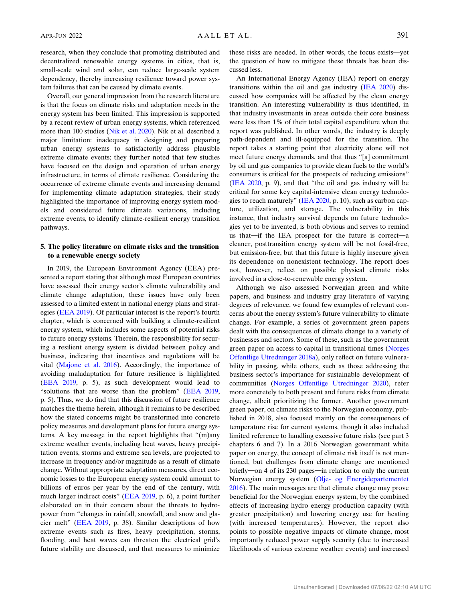research, when they conclude that promoting distributed and decentralized renewable energy systems in cities, that is, small-scale wind and solar, can reduce large-scale system dependency, thereby increasing resilience toward power system failures that can be caused by climate events.

Overall, our general impression from the research literature is that the focus on climate risks and adaptation needs in the energy system has been limited. This impression is supported by a recent review of urban energy systems, which referenced more than 100 studies [\(Nik et al. 2020](#page-10-0)). Nik et al. described a major limitation: inadequacy in designing and preparing urban energy systems to satisfactorily address plausible extreme climate events; they further noted that few studies have focused on the design and operation of urban energy infrastructure, in terms of climate resilience. Considering the occurrence of extreme climate events and increasing demand for implementing climate adaptation strategies, their study highlighted the importance of improving energy system models and considered future climate variations, including extreme events, to identify climate-resilient energy transition pathways.

### 5. The policy literature on climate risks and the transition to a renewable energy society

In 2019, the European Environment Agency (EEA) presented a report stating that although most European countries have assessed their energy sector's climate vulnerability and climate change adaptation, these issues have only been assessed to a limited extent in national energy plans and strategies ([EEA 2019](#page-9-0)). Of particular interest is the report's fourth chapter, which is concerned with building a climate-resilient energy system, which includes some aspects of potential risks to future energy systems. Therein, the responsibility for securing a resilient energy system is divided between policy and business, indicating that incentives and regulations will be vital [\(Majone et al. 2016\)](#page-9-0). Accordingly, the importance of avoiding maladaptation for future resilience is highlighted [\(EEA 2019,](#page-9-0) p. 5), as such development would lead to "solutions that are worse than the problem" ([EEA 2019](#page-9-0), p. 5). Thus, we do find that this discussion of future resilience matches the theme herein, although it remains to be described how the stated concerns might be transformed into concrete policy measures and development plans for future energy systems. A key message in the report highlights that "(m)any extreme weather events, including heat waves, heavy precipitation events, storms and extreme sea levels, are projected to increase in frequency and/or magnitude as a result of climate change. Without appropriate adaptation measures, direct economic losses to the European energy system could amount to billions of euros per year by the end of the century, with much larger indirect costs" [\(EEA 2019](#page-9-0), p. 6), a point further elaborated on in their concern about the threats to hydropower from "changes in rainfall, snowfall, and snow and glacier melt" [\(EEA 2019](#page-9-0), p. 38). Similar descriptions of how extreme events such as fires, heavy precipitation, storms, flooding, and heat waves can threaten the electrical grid's future stability are discussed, and that measures to minimize

these risks are needed. In other words, the focus exists-yet the question of how to mitigate these threats has been discussed less.

An International Energy Agency (IEA) report on energy transitions within the oil and gas industry ([IEA 2020\)](#page-9-0) discussed how companies will be affected by the clean energy transition. An interesting vulnerability is thus identified, in that industry investments in areas outside their core business were less than 1% of their total capital expenditure when the report was published. In other words, the industry is deeply path-dependent and ill-equipped for the transition. The report takes a starting point that electricity alone will not meet future energy demands, and that thus "[a] commitment by oil and gas companies to provide clean fuels to the world's consumers is critical for the prospects of reducing emissions" ([IEA 2020](#page-9-0), p. 9), and that "the oil and gas industry will be critical for some key capital-intensive clean energy technologies to reach maturely" ([IEA 2020](#page-9-0), p. 10), such as carbon capture, utilization, and storage. The vulnerability in this instance, that industry survival depends on future technologies yet to be invented, is both obvious and serves to remind us that—if the IEA prospect for the future is correct—a cleaner, posttransition energy system will be not fossil-free, but emission-free, but that this future is highly insecure given its dependence on nonexistent technology. The report does not, however, reflect on possible physical climate risks involved in a close-to-renewable energy system.

Although we also assessed Norwegian green and white papers, and business and industry gray literature of varying degrees of relevance, we found few examples of relevant concerns about the energy system's future vulnerability to climate change. For example, a series of government green papers dealt with the consequences of climate change to a variety of businesses and sectors. Some of these, such as the government green paper on access to capital in transitional times ([Norges](#page-10-0) [Offentlige Utredninger 2018a](#page-10-0)), only reflect on future vulnerability in passing, while others, such as those addressing the business sector's importance for sustainable development of communities ([Norges Offentlige Utredninger 2020\)](#page-10-0), refer more concretely to both present and future risks from climate change, albeit prioritizing the former. Another government green paper, on climate risks to the Norwegian economy, published in 2018, also focused mainly on the consequences of temperature rise for current systems, though it also included limited reference to handling excessive future risks (see part 3 chapters 6 and 7). In a 2016 Norwegian government white paper on energy, the concept of climate risk itself is not mentioned, but challenges from climate change are mentioned briefly—on 4 of its 230 pages—in relation to only the current Norwegian energy system [\(Olje- og Energidepartementet](#page-10-0) [2016](#page-10-0)). The main messages are that climate change may prove beneficial for the Norwegian energy system, by the combined effects of increasing hydro energy production capacity (with greater precipitation) and lowering energy use for heating (with increased temperatures). However, the report also points to possible negative impacts of climate change, most importantly reduced power supply security (due to increased likelihoods of various extreme weather events) and increased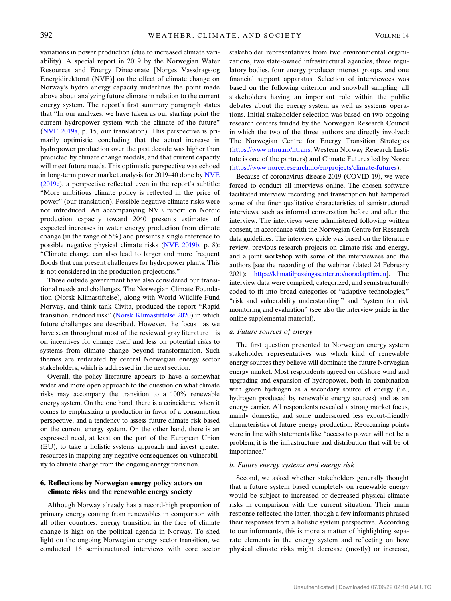variations in power production (due to increased climate variability). A special report in 2019 by the Norwegian Water Resources and Energy Directorate [Norges Vassdrags-og Energidirektorat (NVE)] on the effect of climate change on Norway's hydro energy capacity underlines the point made above about analyzing future climate in relation to the current energy system. The report's first summary paragraph states that "In our analyzes, we have taken as our starting point the current hydropower system with the climate of the future" [\(NVE 2019a,](#page-10-0) p. 15, our translation). This perspective is primarily optimistic, concluding that the actual increase in hydropower production over the past decade was higher than predicted by climate change models, and that current capacity will meet future needs. This optimistic perspective was echoed in long-term power market analysis for 2019–40 done by [NVE](#page-10-0) [\(2019c\)](#page-10-0), a perspective reflected even in the report's subtitle: "More ambitious climate policy is reflected in the price of power" (our translation). Possible negative climate risks were not introduced. An accompanying NVE report on Nordic production capacity toward 2040 presents estimates of expected increases in water energy production from climate change (in the range of 5%) and presents a single reference to possible negative physical climate risks ([NVE 2019b](#page-10-0), p. 8): "Climate change can also lead to larger and more frequent floods that can present challenges for hydropower plants. This is not considered in the production projections."

Those outside government have also considered our transitional needs and challenges. The Norwegian Climate Foundation (Norsk Klimastiftelse), along with World Wildlife Fund Norway, and think tank Civita, produced the report "Rapid transition, reduced risk" [\(Norsk Klimastiftelse 2020\)](#page-10-0) in which future challenges are described. However, the focus—as we have seen throughout most of the reviewed gray literature-is on incentives for change itself and less on potential risks to systems from climate change beyond transformation. Such themes are reiterated by central Norwegian energy sector stakeholders, which is addressed in the next section.

Overall, the policy literature appears to have a somewhat wider and more open approach to the question on what climate risks may accompany the transition to a 100% renewable energy system. On the one hand, there is a coincidence when it comes to emphasizing a production in favor of a consumption perspective, and a tendency to assess future climate risk based on the current energy system. On the other hand, there is an expressed need, at least on the part of the European Union (EU), to take a holistic systems approach and invest greater resources in mapping any negative consequences on vulnerability to climate change from the ongoing energy transition.

## 6. Reflections by Norwegian energy policy actors on climate risks and the renewable energy society

Although Norway already has a record-high proportion of primary energy coming from renewables in comparison with all other countries, energy transition in the face of climate change is high on the political agenda in Norway. To shed light on the ongoing Norwegian energy sector transition, we conducted 16 semistructured interviews with core sector

stakeholder representatives from two environmental organizations, two state-owned infrastructural agencies, three regulatory bodies, four energy producer interest groups, and one financial support apparatus. Selection of interviewees was based on the following criterion and snowball sampling: all stakeholders having an important role within the public debates about the energy system as well as systems operations. Initial stakeholder selection was based on two ongoing research centers funded by the Norwegian Research Council in which the two of the three authors are directly involved: The Norwegian Centre for Energy Transition Strategies (<https://www.ntnu.no/ntrans>; Western Norway Research Institute is one of the partners) and Climate Futures led by Norce ([https://www.norceresearch.no/en/projects/climate-futures\)](https://www.norceresearch.no/en/projects/climate-futures).

Because of coronavirus disease 2019 (COVID-19), we were forced to conduct all interviews online. The chosen software facilitated interview recording and transcription but hampered some of the finer qualitative characteristics of semistructured interviews, such as informal conversation before and after the interview. The interviews were administered following written consent, in accordance with the Norwegian Centre for Research data guidelines. The interview guide was based on the literature review, previous research projects on climate risk and energy, and a joint workshop with some of the interviewees and the authors [see the recording of the webinar (dated 24 February 2021): [https://klimatilpassingssenter.no/noradapttimen\]](https://klimatilpassingssenter.no/noradapttimen). The interview data were compiled, categorized, and semistructurally coded to fit into broad categories of "adaptive technologies," "risk and vulnerability understanding," and "system for risk monitoring and evaluation" (see also the interview guide in the online supplemental material).

### a. Future sources of energy

The first question presented to Norwegian energy system stakeholder representatives was which kind of renewable energy sources they believe will dominate the future Norwegian energy market. Most respondents agreed on offshore wind and upgrading and expansion of hydropower, both in combination with green hydrogen as a secondary source of energy (i.e., hydrogen produced by renewable energy sources) and as an energy carrier. All respondents revealed a strong market focus, mainly domestic, and some underscored less export-friendly characteristics of future energy production. Reoccurring points were in line with statements like "access to power will not be a problem, it is the infrastructure and distribution that will be of importance."

#### b. Future energy systems and energy risk

Second, we asked whether stakeholders generally thought that a future system based completely on renewable energy would be subject to increased or decreased physical climate risks in comparison with the current situation. Their main response reflected the latter, though a few informants phrased their responses from a holistic system perspective. According to our informants, this is more a matter of highlighting separate elements in the energy system and reflecting on how physical climate risks might decrease (mostly) or increase,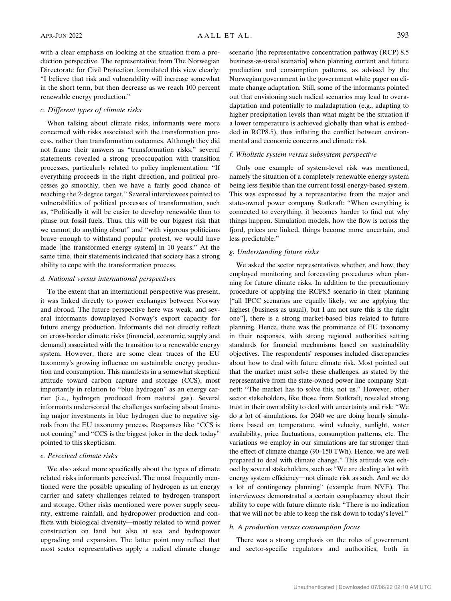with a clear emphasis on looking at the situation from a production perspective. The representative from The Norwegian Directorate for Civil Protection formulated this view clearly: "I believe that risk and vulnerability will increase somewhat in the short term, but then decrease as we reach 100 percent renewable energy production."

#### c. Different types of climate risks

When talking about climate risks, informants were more concerned with risks associated with the transformation process, rather than transformation outcomes. Although they did not frame their answers as "transformation risks," several statements revealed a strong preoccupation with transition processes, particularly related to policy implementation: "If everything proceeds in the right direction, and political processes go smoothly, then we have a fairly good chance of reaching the 2-degree target." Several interviewees pointed to vulnerabilities of political processes of transformation, such as, "Politically it will be easier to develop renewable than to phase out fossil fuels. Thus, this will be our biggest risk that we cannot do anything about" and "with vigorous politicians brave enough to withstand popular protest, we would have made [the transformed energy system] in 10 years." At the same time, their statements indicated that society has a strong ability to cope with the transformation process.

### d. National versus international perspectives

To the extent that an international perspective was present, it was linked directly to power exchanges between Norway and abroad. The future perspective here was weak, and several informants downplayed Norway's export capacity for future energy production. Informants did not directly reflect on cross-border climate risks (financial, economic, supply and demand) associated with the transition to a renewable energy system. However, there are some clear traces of the EU taxonomy's growing influence on sustainable energy production and consumption. This manifests in a somewhat skeptical attitude toward carbon capture and storage (CCS), most importantly in relation to "blue hydrogen" as an energy carrier (i.e., hydrogen produced from natural gas). Several informants underscored the challenges surfacing about financing major investments in blue hydrogen due to negative signals from the EU taxonomy process. Responses like "CCS is not coming" and "CCS is the biggest joker in the deck today" pointed to this skepticism.

#### e. Perceived climate risks

We also asked more specifically about the types of climate related risks informants perceived. The most frequently mentioned were the possible upscaling of hydrogen as an energy carrier and safety challenges related to hydrogen transport and storage. Other risks mentioned were power supply security, extreme rainfall, and hydropower production and conflicts with biological diversity-mostly related to wind power construction on land but also at sea-and hydropower upgrading and expansion. The latter point may reflect that most sector representatives apply a radical climate change scenario [the representative concentration pathway (RCP) 8.5 business-as-usual scenario] when planning current and future production and consumption patterns, as advised by the Norwegian government in the government white paper on climate change adaptation. Still, some of the informants pointed out that envisioning such radical scenarios may lead to overadaptation and potentially to maladaptation (e.g., adapting to higher precipitation levels than what might be the situation if a lower temperature is achieved globally than what is embedded in RCP8.5), thus inflating the conflict between environmental and economic concerns and climate risk.

### f. Wholistic system versus subsystem perspective

Only one example of system-level risk was mentioned, namely the situation of a completely renewable energy system being less flexible than the current fossil energy-based system. This was expressed by a representative from the major and state-owned power company Statkraft: "When everything is connected to everything, it becomes harder to find out why things happen. Simulation models, how the flow is across the fjord, prices are linked, things become more uncertain, and less predictable."

## g. Understanding future risks

We asked the sector representatives whether, and how, they employed monitoring and forecasting procedures when planning for future climate risks. In addition to the precautionary procedure of applying the RCP8.5 scenario in their planning ["all IPCC scenarios are equally likely, we are applying the highest (business as usual), but I am not sure this is the right one"], there is a strong market-based bias related to future planning. Hence, there was the prominence of EU taxonomy in their responses, with strong regional authorities setting standards for financial mechanisms based on sustainability objectives. The respondents' responses included discrepancies about how to deal with future climate risk. Most pointed out that the market must solve these challenges, as stated by the representative from the state-owned power line company Statnett: "The market has to solve this, not us." However, other sector stakeholders, like those from Statkraft, revealed strong trust in their own ability to deal with uncertainty and risk: "We do a lot of simulations, for 2040 we are doing hourly simulations based on temperature, wind velocity, sunlight, water availability, price fluctuations, consumption patterns, etc. The variations we employ in our simulations are far stronger than the effect of climate change (90–150 TWh). Hence, we are well prepared to deal with climate change." This attitude was echoed by several stakeholders, such as "We are dealing a lot with energy system efficiency-not climate risk as such. And we do a lot of contingency planning" (example from NVE). The interviewees demonstrated a certain complacency about their ability to cope with future climate risk: "There is no indication that we will not be able to keep the risk down to today's level."

#### h. A production versus consumption focus

There was a strong emphasis on the roles of government and sector-specific regulators and authorities, both in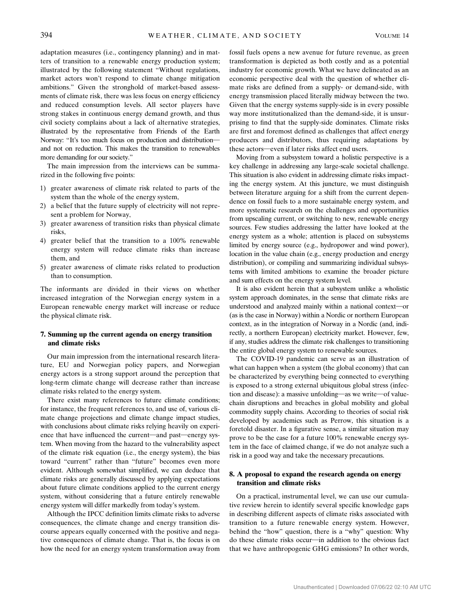adaptation measures (i.e., contingency planning) and in matters of transition to a renewable energy production system; illustrated by the following statement "Without regulations, market actors won't respond to climate change mitigation ambitions." Given the stronghold of market-based assessments of climate risk, there was less focus on energy efficiency and reduced consumption levels. All sector players have strong stakes in continuous energy demand growth, and thus civil society complains about a lack of alternative strategies, illustrated by the representative from Friends of the Earth Norway: "It's too much focus on production and distributionand not on reduction. This makes the transition to renewables more demanding for our society."

The main impression from the interviews can be summarized in the following five points:

- 1) greater awareness of climate risk related to parts of the system than the whole of the energy system,
- 2) a belief that the future supply of electricity will not represent a problem for Norway,
- 3) greater awareness of transition risks than physical climate risks,
- 4) greater belief that the transition to a 100% renewable energy system will reduce climate risks than increase them, and
- 5) greater awareness of climate risks related to production than to consumption.

The informants are divided in their views on whether increased integration of the Norwegian energy system in a European renewable energy market will increase or reduce the physical climate risk.

### 7. Summing up the current agenda on energy transition and climate risks

Our main impression from the international research literature, EU and Norwegian policy papers, and Norwegian energy actors is a strong support around the perception that long-term climate change will decrease rather than increase climate risks related to the energy system.

There exist many references to future climate conditions; for instance, the frequent references to, and use of, various climate change projections and climate change impact studies, with conclusions about climate risks relying heavily on experience that have influenced the current-and past-energy system. When moving from the hazard to the vulnerability aspect of the climate risk equation (i.e., the energy system), the bias toward "current" rather than "future" becomes even more evident. Although somewhat simplified, we can deduce that climate risks are generally discussed by applying expectations about future climate conditions applied to the current energy system, without considering that a future entirely renewable energy system will differ markedly from today's system.

Although the IPCC definition limits climate risks to adverse consequences, the climate change and energy transition discourse appears equally concerned with the positive and negative consequences of climate change. That is, the focus is on how the need for an energy system transformation away from

fossil fuels opens a new avenue for future revenue, as green transformation is depicted as both costly and as a potential industry for economic growth. What we have delineated as an economic perspective deal with the question of whether climate risks are defined from a supply- or demand-side, with energy transmission placed literally midway between the two. Given that the energy systems supply-side is in every possible way more institutionalized than the demand-side, it is unsurprising to find that the supply-side dominates. Climate risks are first and foremost defined as challenges that affect energy producers and distributors, thus requiring adaptations by these actors-even if later risks affect end users.

Moving from a subsystem toward a holistic perspective is a key challenge in addressing any large-scale societal challenge. This situation is also evident in addressing climate risks impacting the energy system. At this juncture, we must distinguish between literature arguing for a shift from the current dependence on fossil fuels to a more sustainable energy system, and more systematic research on the challenges and opportunities from upscaling current, or switching to new, renewable energy sources. Few studies addressing the latter have looked at the energy system as a whole; attention is placed on subsystems limited by energy source (e.g., hydropower and wind power), location in the value chain (e.g., energy production and energy distribution), or compiling and summarizing individual subsystems with limited ambitions to examine the broader picture and sum effects on the energy system level.

It is also evident herein that a subsystem unlike a wholistic system approach dominates, in the sense that climate risks are understood and analyzed mainly within a national context-or (as is the case in Norway) within a Nordic or northern European context, as in the integration of Norway in a Nordic (and, indirectly, a northern European) electricity market. However, few, if any, studies address the climate risk challenges to transitioning the entire global energy system to renewable sources.

The COVID-19 pandemic can serve as an illustration of what can happen when a system (the global economy) that can be characterized by everything being connected to everything is exposed to a strong external ubiquitous global stress (infection and disease): a massive unfolding—as we write—of valuechain disruptions and breaches in global mobility and global commodity supply chains. According to theories of social risk developed by academics such as Perrow, this situation is a foretold disaster. In a figurative sense, a similar situation may prove to be the case for a future 100% renewable energy system in the face of claimed change, if we do not analyze such a risk in a good way and take the necessary precautions.

### 8. A proposal to expand the research agenda on energy transition and climate risks

On a practical, instrumental level, we can use our cumulative review herein to identify several specific knowledge gaps in describing different aspects of climate risks associated with transition to a future renewable energy system. However, behind the "how" question, there is a "why" question: Why do these climate risks occur—in addition to the obvious fact that we have anthropogenic GHG emissions? In other words,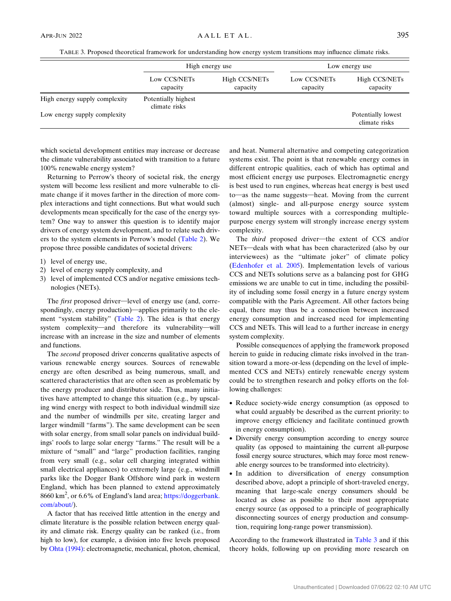TABLE 3. Proposed theoretical framework for understanding how energy system transitions may influence climate risks.

|                               | High energy use                      |                           | Low energy use           |                                     |
|-------------------------------|--------------------------------------|---------------------------|--------------------------|-------------------------------------|
|                               | Low CCS/NETs<br>capacity             | High CCS/NETs<br>capacity | Low CCS/NETs<br>capacity | High CCS/NETs<br>capacity           |
| High energy supply complexity | Potentially highest<br>climate risks |                           |                          |                                     |
| Low energy supply complexity  |                                      |                           |                          | Potentially lowest<br>climate risks |

which societal development entities may increase or decrease the climate vulnerability associated with transition to a future 100% renewable energy system?

Returning to Perrow's theory of societal risk, the energy system will become less resilient and more vulnerable to climate change if it moves farther in the direction of more complex interactions and tight connections. But what would such developments mean specifically for the case of the energy system? One way to answer this question is to identify major drivers of energy system development, and to relate such drivers to the system elements in Perrow's model [\(Table 2](#page-2-0)). We propose three possible candidates of societal drivers:

- 1) level of energy use,
- 2) level of energy supply complexity, and
- 3) level of implemented CCS and/or negative emissions technologies (NETs).

The first proposed driver—level of energy use (and, correspondingly, energy production)—applies primarily to the element "system stability" ([Table 2](#page-2-0)). The idea is that energy system complexity—and therefore its vulnerability—will increase with an increase in the size and number of elements and functions.

The second proposed driver concerns qualitative aspects of various renewable energy sources. Sources of renewable energy are often described as being numerous, small, and scattered characteristics that are often seen as problematic by the energy producer and distributor side. Thus, many initiatives have attempted to change this situation (e.g., by upscaling wind energy with respect to both individual windmill size and the number of windmills per site, creating larger and larger windmill "farms"). The same development can be seen with solar energy, from small solar panels on individual buildings' roofs to large solar energy "farms." The result will be a mixture of "small" and "large" production facilities, ranging from very small (e.g., solar cell charging integrated within small electrical appliances) to extremely large (e.g., windmill parks like the Dogger Bank Offshore wind park in western England, which has been planned to extend approximately 8660 km<sup>2</sup>, or 6.6% of England's land area; [https://doggerbank.](https://doggerbank.com/about/) [com/about/\)](https://doggerbank.com/about/).

A factor that has received little attention in the energy and climate literature is the possible relation between energy quality and climate risk. Energy quality can be ranked (i.e., from high to low), for example, a division into five levels proposed by [Ohta \(1994\):](#page-10-0) electromagnetic, mechanical, photon, chemical,

and heat. Numeral alternative and competing categorization systems exist. The point is that renewable energy comes in different entropic qualities, each of which has optimal and most efficient energy use purposes. Electromagnetic energy is best used to run engines, whereas heat energy is best used to-as the name suggests-heat. Moving from the current (almost) single- and all-purpose energy source system toward multiple sources with a corresponding multiplepurpose energy system will strongly increase energy system complexity.

The third proposed driver-the extent of CCS and/or NETs-deals with what has been characterized (also by our interviewees) as the "ultimate joker" of climate policy ([Edenhofer et al. 2005](#page-9-0)). Implementation levels of various CCS and NETs solutions serve as a balancing post for GHG emissions we are unable to cut in time, including the possibility of including some fossil energy in a future energy system compatible with the Paris Agreement. All other factors being equal, there may thus be a connection between increased energy consumption and increased need for implementing CCS and NETs. This will lead to a further increase in energy system complexity.

Possible consequences of applying the framework proposed herein to guide in reducing climate risks involved in the transition toward a more-or-less (depending on the level of implemented CCS and NETs) entirely renewable energy system could be to strengthen research and policy efforts on the following challenges:

- Reduce society-wide energy consumption (as opposed to what could arguably be described as the current priority: to improve energy efficiency and facilitate continued growth in energy consumption).
- Diversify energy consumption according to energy source quality (as opposed to maintaining the current all-purpose fossil energy source structures, which may force most renewable energy sources to be transformed into electricity).
- In addition to diversification of energy consumption described above, adopt a principle of short-traveled energy, meaning that large-scale energy consumers should be located as close as possible to their most appropriate energy source (as opposed to a principle of geographically disconnecting sources of energy production and consumption, requiring long-range power transmission).

According to the framework illustrated in Table 3 and if this theory holds, following up on providing more research on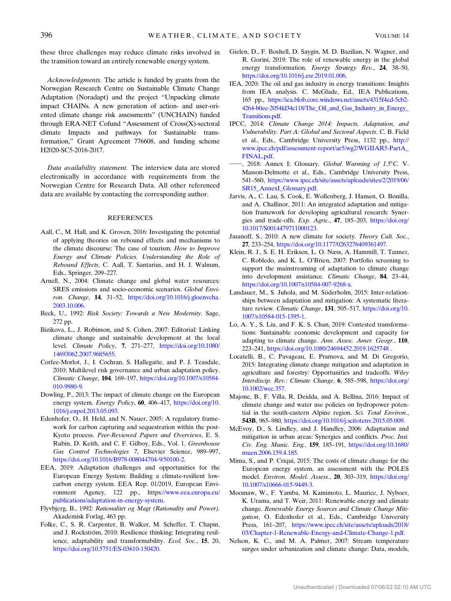<span id="page-9-0"></span>these three challenges may reduce climate risks involved in the transition toward an entirely renewable energy system.

Acknowledgments. The article is funded by grants from the Norwegian Research Centre on Sustainable Climate Change Adaptation (Noradapt) and the project "Unpacking climate impact CHAINs. A new generation of action- and user-oriented climate change risk assessments" (UNCHAIN) funded through ERA-NET Cofund "Assessment of Cross(X)-sectoral climate Impacts and pathways for Sustainable transformation," Grant Agreement 776608, and funding scheme H2020-SC5-2016-2017.

Data availability statement. The interview data are stored electronically in accordance with requirements from the Norwegian Centre for Research Data. All other referenced data are available by contacting the corresponding author.

#### REFERENCES

- Aall, C., M. Hall, and K. Groven, 2016: Investigating the potential of applying theories on rebound effects and mechanisms to the climate discourse: The case of tourism. How to Improve Energy and Climate Policies. Understanding the Role of Rebound Effects, C. Aall, T. Santarius, and H. J. Walnum, Eds., Springer, 209–227.
- Arnell, N., 2004: Climate change and global water resources: SRES emissions and socio-economic scenarios. Global Environ. Change, 14, 31–52, [https://doi.org/10.1016/j.gloenvcha.](https://doi.org/10.1016/j.gloenvcha.2003.10.006) [2003.10.006](https://doi.org/10.1016/j.gloenvcha.2003.10.006).
- Beck, U., 1992: Risk Society: Towards a New Modernity. Sage, 272 pp.
- Bizikova, L., J. Robinson, and S. Cohen, 2007: Editorial: Linking climate change and sustainable development at the local level. Climate Policy, 7, 271–277, [https://doi.org/10.1080/](https://doi.org/10.1080/14693062.2007.9685655) [14693062.2007.9685655.](https://doi.org/10.1080/14693062.2007.9685655)
- Corfee-Morlot, J., I. Cochran, S. Hallegatte, and P. J. Teasdale, 2010: Multilevel risk governance and urban adaptation policy. Climatic Change, 104, 169–197, [https://doi.org/10.1007/s10584-](https://doi.org/10.1007/s10584-010-9980-9) [010-9980-9.](https://doi.org/10.1007/s10584-010-9980-9)
- Dowling, P., 2013: The impact of climate change on the European energy system. Energy Policy, 60, 406-417, [https://doi.org/10.](https://doi.org/10.1016/j.enpol.2013.05.093) [1016/j.enpol.2013.05.093.](https://doi.org/10.1016/j.enpol.2013.05.093)
- Edenhofer, O., H. Held, and N. Nauer, 2005: A regulatory framework for carbon capturing and sequestration within the post-Kyoto process. Peer-Reviewed Papers and Overviews, E. S. Rubin, D. Keith, and C. F. Gilboy, Eds., Vol. 1, Greenhouse Gas Control Technologies 7, Elsevier Science, 989–997, <https://doi.org/10.1016/B978-008044704-9/50100-2>.
- EEA, 2019: Adaptation challenges and opportunities for the European Energy System: Building a climate-resilient lowcarbon energy system. EEA Rep. 01/2019, European Environment Agency, 122 pp., http[s://www.eea.europa.eu/](://www.eea.europa.eu/publications/adaptation-in-energy-system.) [publications/adaptation-in-energy-system.](://www.eea.europa.eu/publications/adaptation-in-energy-system.)
- Flyvbjerg, B., 1992: Rationalitet og Magt (Rationality and Power). Akademisk Forlag, 463 pp.
- Folke, C., S. R. Carpenter, B. Walker, M. Scheffer, T. Chapin, and J. Rockström, 2010: Resilience thinking: Integrating resilience, adaptability and transformability. Ecol. Soc., 15, 20, <https://doi.org/10.5751/ES-03610-150420>.
- Gielen, D., F. Boshell, D. Saygin, M. D. Bazilian, N. Wagner, and R. Gorini, 2019: The role of renewable energy in the global energy transformation. Energy Strategy Rev., 24, 38-50, <https://doi.org/10.1016/j.esr.2019.01.006>.
- IEA, 2020: The oil and gas industry in energy transitions: Insights from IEA analysis. C. McGlade, Ed., IEA Publications, 165 pp., [https://iea.blob.core.windows.net/assets/4315f4ed-5cb2-](https://iea.blob.core.windows.net/assets/4315f4ed-5cb2-4264-b0ee-2054fd34c118/The_Oil_and_Gas_Industry_in_Energy_Transitions.pdf.) [4264-b0ee-2054fd34c118/The\\_Oil\\_and\\_Gas\\_Industry\\_in\\_Energy\\_](https://iea.blob.core.windows.net/assets/4315f4ed-5cb2-4264-b0ee-2054fd34c118/The_Oil_and_Gas_Industry_in_Energy_Transitions.pdf.) [Transitions.pdf.](https://iea.blob.core.windows.net/assets/4315f4ed-5cb2-4264-b0ee-2054fd34c118/The_Oil_and_Gas_Industry_in_Energy_Transitions.pdf.)
- IPCC, 2014: Climate Change 2014: Impacts, Adaptation, and Vulnerability. Part A: Global and Sectoral Aspects. C. B. Field et al., Eds., Cambridge University Press, 1132 pp., [http://](http://www.ipcc.ch/pdf/assessment-report/ar5/wg2/WGIIAR5-PartA_FINAL.pdf.) [www.ipcc.ch/pdf/assessment-report/ar5/wg2/WGIIAR5-PartA\\_](http://www.ipcc.ch/pdf/assessment-report/ar5/wg2/WGIIAR5-PartA_FINAL.pdf.) [FINAL.pdf.](http://www.ipcc.ch/pdf/assessment-report/ar5/wg2/WGIIAR5-PartA_FINAL.pdf.)
- <sup>1</sup>, 2018: Annex I: Glossary. Global Warming of 1.5°C. V. Masson-Delmotte et al., Eds., Cambridge University Press, 541–560, [https://www.ipcc.ch/site/assets/uploads/sites/2/2019/06/](https://www.ipcc.ch/site/assets/uploads/sites/2/2019/06/SR15_AnnexI_Glossary.pdf.) [SR15\\_AnnexI\\_Glossary.pdf.](https://www.ipcc.ch/site/assets/uploads/sites/2/2019/06/SR15_AnnexI_Glossary.pdf.)
- Jarvis, A., C. Lau, S. Cook, E. Wollenberg, J. Hansen, O. Bonilla, and A. Challinor, 2011: An integrated adaptation and mitigation framework for developing agricultural research: Synergies and trade-offs. Exp. Agric., 47, 185–203, [https://doi.org/](https://doi.org/10.1017/S0014479711000123) [10.1017/S0014479711000123.](https://doi.org/10.1017/S0014479711000123)
- Jasanoff, S., 2010: A new climate for society. Theory Cult. Soc., 27, 233–254, <https://doi.org/10.1177/0263276409361497>.
- Klein, R. J., S. E. H. Eriksen, L. O. Næss, A. Hammill, T. Tanner, C. Robledo, and K. L. O'Brien, 2007: Portfolio screening to support the mainstreaming of adaptation to climate change into development assistance. Climatic Change, 84, 23–44, [https://doi.org/10.1007/s10584-007-9268-x.](https://doi.org/10.1007/s10584-007-9268-x)
- Landauer, M., S. Juhola, and M. Söderholm, 2015: Inter-relationships between adaptation and mitigation: A systematic literature review. Climatic Change, 131, 505-517, [https://doi.org/10.](https://doi.org/10.1007/s10584-015-1395-1) [1007/s10584-015-1395-1.](https://doi.org/10.1007/s10584-015-1395-1)
- Lo, A. Y., S. Liu, and F. K. S. Chan, 2019: Contested transformations: Sustainable economic development and capacity for adapting to climate change. Ann. Assoc. Amer. Geogr., 110, 223–241, <https://doi.org/10.1080/24694452.2019.1625748 .>
- Locatelli, B., C. Pavageau, E. Pramova, and M. Di Gregorio, 2015: Integrating climate change mitigation and adaptation in agriculture and forestry: Opportunities and tradeoffs. Wiley Interdiscip. Rev.: Climate Change, 6, 585–598, [https://doi.org/](https://doi.org/10.1002/wcc.357) [10.1002/wcc.357](https://doi.org/10.1002/wcc.357).
- Majone, B., F. Villa, R. Deidda, and A. Bellina, 2016: Impact of climate change and water use policies on hydropower potential in the south-eastern Alpine region. Sci. Total Environ., 543B, 965–980, <https://doi.org/10.1016/j.scitotenv.2015.05.009>.
- McEvoy, D., S. Lindley, and J. Handley, 2006: Adaptation and mitigation in urban areas: Synergies and conflicts. Proc. Inst. Civ. Eng. Munic. Eng., 159, 185–191, [https://doi.org/10.1680/](https://doi.org/10.1680/muen.2006.159.4.185) [muen.2006.159.4.185](https://doi.org/10.1680/muen.2006.159.4.185).
- Mima, S., and P. Criqui, 2015: The costs of climate change for the European energy system, an assessment with the POLES model. Environ. Model. Assess., 20, 303–319, [https://doi.org/](https://doi.org/10.1007/s10666-015-9449-3) [10.1007/s10666-015-9449-3](https://doi.org/10.1007/s10666-015-9449-3).
- Moomaw, W., F. Yamba, M. Kamimoto, L. Maurice, J. Nyboer, K. Urama, and T. Weir, 2011: Renewable energy and climate change. Renewable Energy Sources and Climate Change Mitigation, O. Edenhofer et al., Eds., Cambridge University Press, 161–207, [https://www.ipcc.ch/site/assets/uploads/2018/](https://www.ipcc.ch/site/assets/uploads/2018/03/Chapter-1-Renewable-Energy-and-Climate-Change-1.pdf.) [03/Chapter-1-Renewable-Energy-and-Climate-Change-1.pdf.](https://www.ipcc.ch/site/assets/uploads/2018/03/Chapter-1-Renewable-Energy-and-Climate-Change-1.pdf.)
- Nelson, K. C., and M. A. Palmer, 2007: Stream temperature surges under urbanization and climate change: Data, models,